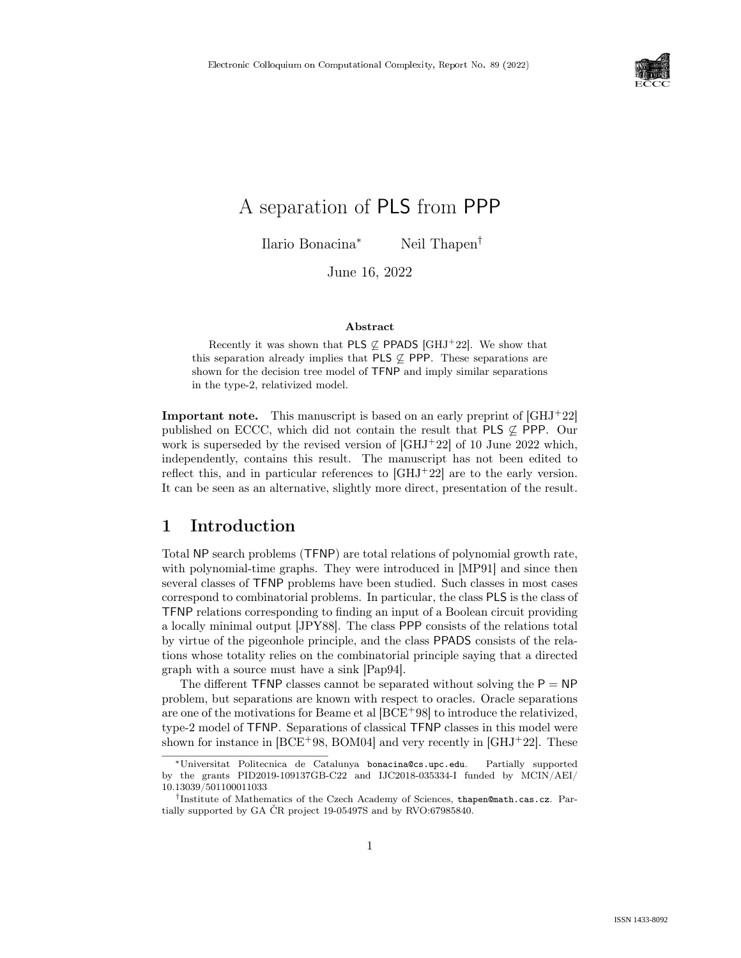

# A separation of PLS from PPP

Ilario Bonacina<sup>∗</sup> Neil Thapen*†*

June 16, 2022

#### Abstract

Recently it was shown that PLS  $\varphi$  PPADS [GHJ<sup>+</sup>22]. We show that this separation already implies that PLS  $\varphi$  PPP. These separations are shown for the decision tree model of TFNP and imply similar separations in the type-2, relativized model.

**Important note.** This manuscript is based on an early preprint of  $\left[GHJ+22\right]$ published on ECCC, which did not contain the result that PLS  $\varphi$  PPP. Our work is superseded by the revised version of  $\left[ \text{GHJ}^+ \text{22} \right]$  of 10 June 2022 which, independently, contains this result. The manuscript has not been edited to reflect this, and in particular references to  $\left[GHJ^{+}22\right]$  are to the early version. It can be seen as an alternative, slightly more direct, presentation of the result.

# 1 Introduction

Total NP search problems (TFNP) are total relations of polynomial growth rate, with polynomial-time graphs. They were introduced in [MP91] and since then several classes of TFNP problems have been studied. Such classes in most cases correspond to combinatorial problems. In particular, the class PLS is the class of TFNP relations corresponding to finding an input of a Boolean circuit providing a locally minimal output [JPY88]. The class PPP consists of the relations total by virtue of the pigeonhole principle, and the class PPADS consists of the relations whose totality relies on the combinatorial principle saying that a directed graph with a source must have a sink [Pap94].

The different  $TFNP$  classes cannot be separated without solving the  $P = NP$ problem, but separations are known with respect to oracles. Oracle separations are one of the motivations for Beame et al [BCE+98] to introduce the relativized, type-2 model of TFNP. Separations of classical TFNP classes in this model were shown for instance in  $[BCE+98, BOM04]$  and very recently in  $[GHJ+22]$ . These

<sup>∗</sup>Universitat Politecnica de Catalunya bonacina@cs.upc.edu. Partially supported by the grants PID2019-109137GB-C22 and IJC2018-035334-I funded by MCIN/AEI/ 10.13039/501100011033

*<sup>†</sup>*Institute of Mathematics of the Czech Academy of Sciences, thapen@math.cas.cz. Partially supported by GA ČR project 19-05497S and by RVO:67985840.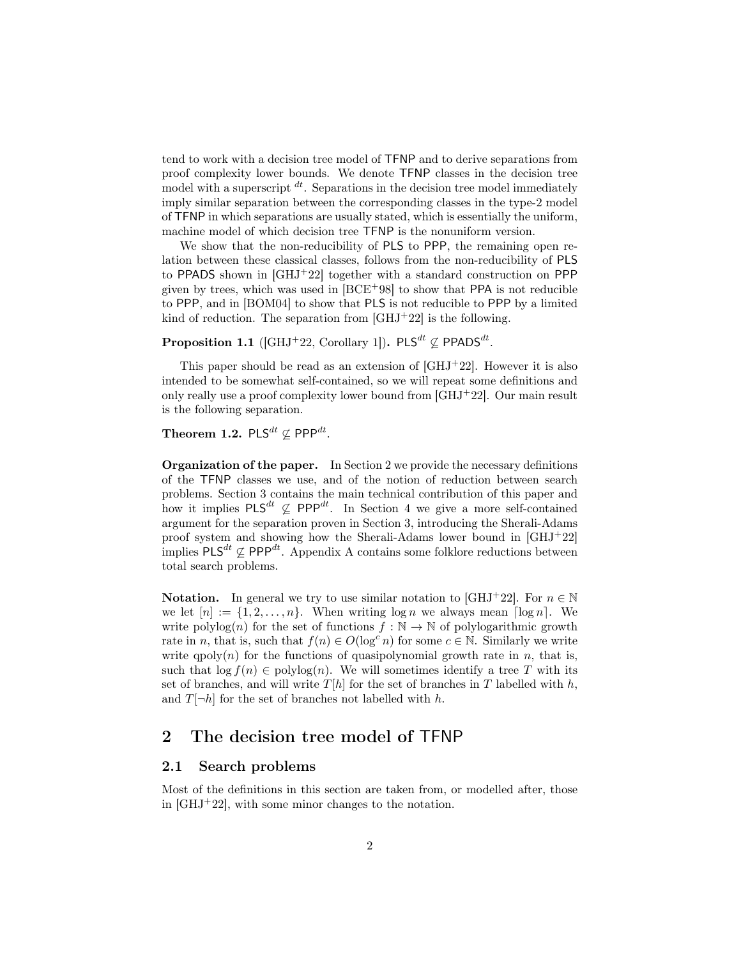tend to work with a decision tree model of TFNP and to derive separations from proof complexity lower bounds. We denote TFNP classes in the decision tree model with a superscript *dt* . Separations in the decision tree model immediately imply similar separation between the corresponding classes in the type-2 model of TFNP in which separations are usually stated, which is essentially the uniform, machine model of which decision tree TFNP is the nonuniform version.

We show that the non-reducibility of PLS to PPP, the remaining open relation between these classical classes, follows from the non-reducibility of PLS to PPADS shown in [GHJ+22] together with a standard construction on PPP given by trees, which was used in  $[BCE<sup>+</sup>98]$  to show that PPA is not reducible to PPP, and in [BOM04] to show that PLS is not reducible to PPP by a limited kind of reduction. The separation from  $\left[\text{GHJ}^+22\right]$  is the following.

Proposition 1.1 ([GHJ<sup>+</sup>22, Corollary 1]).  $\mathsf{PLS}^{dt} \not\subseteq \mathsf{PPADS}^{dt}$ .

This paper should be read as an extension of  $\left[ \text{GHJ}^{+}22 \right]$ . However it is also intended to be somewhat self-contained, so we will repeat some definitions and only really use a proof complexity lower bound from [GHJ<sup>+</sup>22]. Our main result is the following separation.

Theorem 1.2.  $\mathsf{PLS}^{dt} \not\subseteq \mathsf{PPP}^{dt}$ .

Organization of the paper. In Section 2 we provide the necessary definitions of the TFNP classes we use, and of the notion of reduction between search problems. Section 3 contains the main technical contribution of this paper and how it implies  $PLS^{dt} \not\subseteq PPP^{dt}$ . In Section 4 we give a more self-contained argument for the separation proven in Section 3, introducing the Sherali-Adams proof system and showing how the Sherali-Adams lower bound in [GHJ<sup>+</sup>22] implies PLS*dt* ∕⊆ PPP*dt* . Appendix A contains some folklore reductions between total search problems.

**Notation.** In general we try to use similar notation to [GHJ+22]. For  $n \in \mathbb{N}$ we let  $[n] := \{1, 2, \ldots, n\}$ . When writing  $\log n$  we always mean  $\lceil \log n \rceil$ . We write polylog(*n*) for the set of functions  $f : \mathbb{N} \to \mathbb{N}$  of polylogarithmic growth rate in *n*, that is, such that  $f(n) \in O(\log^c n)$  for some  $c \in \mathbb{N}$ . Similarly we write write  $qpoly(n)$  for the functions of quasipolynomial growth rate in *n*, that is, such that  $\log f(n) \in \text{polylog}(n)$ . We will sometimes identify a tree T with its set of branches, and will write  $T[h]$  for the set of branches in  $T$  labelled with  $h$ , and  $T[\neg h]$  for the set of branches not labelled with *h*.

## 2 The decision tree model of TFNP

### 2.1 Search problems

Most of the definitions in this section are taken from, or modelled after, those in  $[GHJ^+22]$ , with some minor changes to the notation.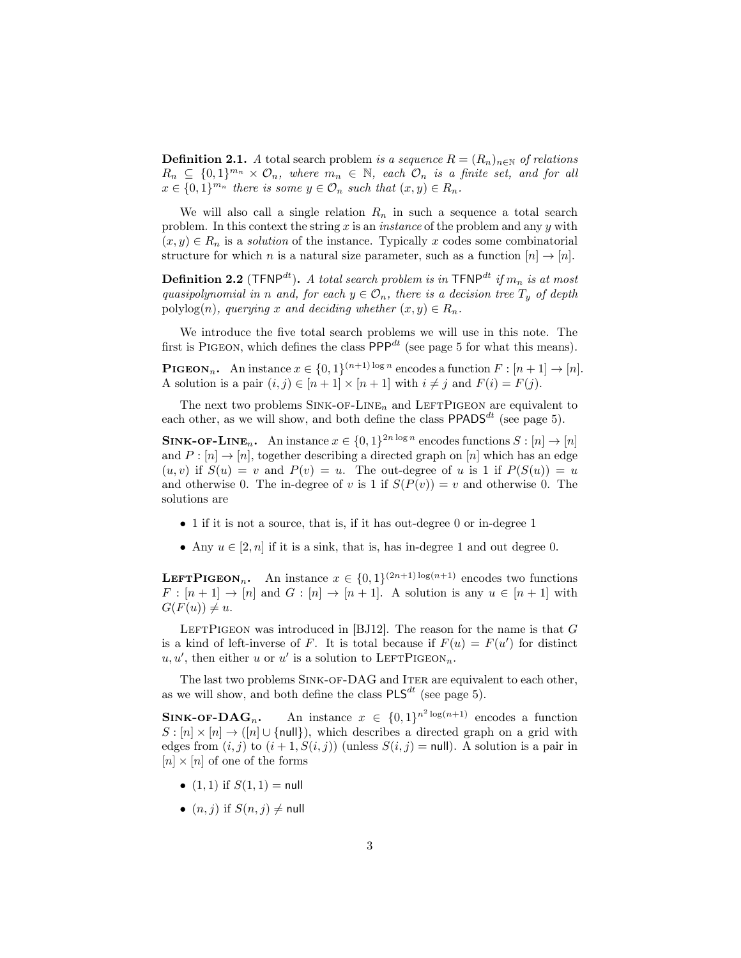**Definition 2.1.** *A* total search problem *is a sequence*  $R = (R_n)_{n \in \mathbb{N}}$  *of relations*  $R_n \subseteq \{0,1\}^{m_n} \times \mathcal{O}_n$ , where  $m_n \in \mathbb{N}$ , each  $\mathcal{O}_n$  is a finite set, and for all  $x \in \{0,1\}^{m_n}$  *there is some*  $y \in \mathcal{O}_n$  *such that*  $(x, y) \in R_n$ *.* 

We will also call a single relation  $R_n$  in such a sequence a total search problem. In this context the string *x* is an *instance* of the problem and any *y* with  $(x, y) \in R_n$  is a *solution* of the instance. Typically x codes some combinatorial structure for which *n* is a natural size parameter, such as a function  $[n] \rightarrow [n]$ .

**Definition 2.2** (TFNP<sup>dt</sup>). A total search problem is in TFNP<sup>dt</sup> if  $m_n$  is at most *quasipolynomial* in *n and, for each*  $y \in O_n$ *, there is a decision tree*  $T_y$  *of depth* polylog(*n*)*, querying x and deciding whether*  $(x, y) \in R_n$ *.* 

We introduce the five total search problems we will use in this note. The first is PIGEON, which defines the class  $\mathsf{PPP}^{dt}$  (see page 5 for what this means).

**PIGEON**<sub>n</sub>. An instance  $x \in \{0,1\}^{(n+1)\log n}$  encodes a function  $F : [n+1] \to [n]$ . A solution is a pair  $(i, j) \in [n + 1] \times [n + 1]$  with  $i \neq j$  and  $F(i) = F(j)$ .

The next two problems  $\text{SINK-OF-LINE}_n$  and  $\text{LEFTPIGEDN}$  are equivalent to each other, as we will show, and both define the class  $PPADS<sup>dt</sup>$  (see page 5).

**SINK-OF-LINE**<sub>n</sub>. An instance  $x \in \{0,1\}^{2n \log n}$  encodes functions  $S : [n] \to [n]$ and  $P : [n] \to [n]$ , together describing a directed graph on [*n*] which has an edge  $(u, v)$  if  $S(u) = v$  and  $P(v) = u$ . The out-degree of *u* is 1 if  $P(S(u)) = u$ and otherwise 0. The in-degree of *v* is 1 if  $S(P(v)) = v$  and otherwise 0. The solutions are

- 1 if it is not a source, that is, if it has out-degree 0 or in-degree 1
- Any  $u \in [2, n]$  if it is a sink, that is, has in-degree 1 and out degree 0.

**LEFTPIGEON**<sub>n</sub>. An instance  $x \in \{0,1\}^{(2n+1)\log(n+1)}$  encodes two functions  $F : [n+1] \rightarrow [n]$  and  $G : [n] \rightarrow [n+1]$ . A solution is any  $u \in [n+1]$  with  $G(F(u)) \neq u$ .

LEFTPIGEON was introduced in [BJ12]. The reason for the name is that  $G$ is a kind of left-inverse of *F*. It is total because if  $F(u) = F(u')$  for distinct  $u, u'$ , then either *u* or *u'* is a solution to LEFTPIGEON<sub>n</sub>.

The last two problems SINK-OF-DAG and ITER are equivalent to each other, as we will show, and both define the class  $PLS^{dt}$  (see page 5).

**SINK-OF-DAG**<sub>n</sub>. An instance  $x \in \{0,1\}^{n^2 \log(n+1)}$  encodes a function  $S : [n] \times [n] \rightarrow ([n] \cup \{null\})$ , which describes a directed graph on a grid with edges from  $(i, j)$  to  $(i + 1, S(i, j))$  (unless  $S(i, j) = \text{null}$ ). A solution is a pair in  $[n] \times [n]$  of one of the forms

- $(1, 1)$  if  $S(1, 1) = \text{null}$
- $(n, j)$  if  $S(n, j) \neq \text{null}$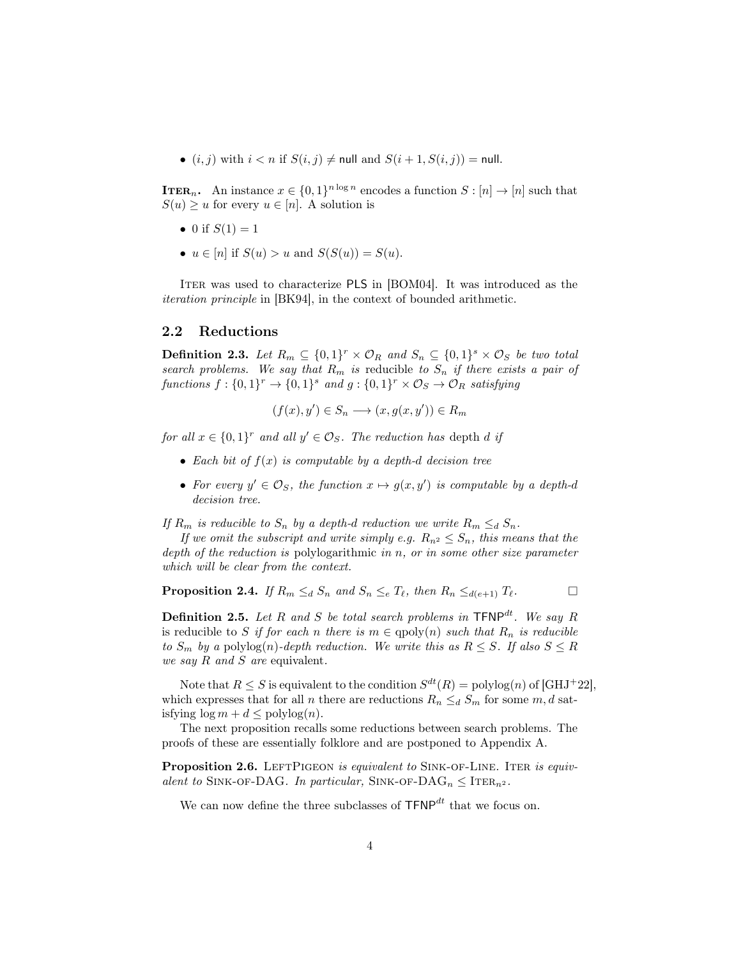•  $(i, j)$  with  $i < n$  if  $S(i, j) \neq \text{null}$  and  $S(i + 1, S(i, j)) = \text{null}$ .

**ITER**<sub>n</sub>. An instance  $x \in \{0,1\}^{n \log n}$  encodes a function  $S : [n] \to [n]$  such that  $S(u) \geq u$  for every  $u \in [n]$ . A solution is

- 0 if  $S(1) = 1$
- $u \in [n]$  if  $S(u) > u$  and  $S(S(u)) = S(u)$ .

ITER was used to characterize PLS in [BOM04]. It was introduced as the *iteration principle* in [BK94], in the context of bounded arithmetic.

#### 2.2 Reductions

**Definition 2.3.** Let  $R_m \subseteq \{0,1\}^r \times \mathcal{O}_R$  and  $S_n \subseteq \{0,1\}^s \times \mathcal{O}_S$  be two total *search problems.* We say that  $R_m$  is reducible to  $S_n$  if there exists a pair of *functions*  $f: \{0,1\}^r \to \{0,1\}^s$  *and*  $g: \{0,1\}^r \times \mathcal{O}_S \to \mathcal{O}_R$  *satisfying* 

$$
(f(x), y') \in S_n \longrightarrow (x, g(x, y')) \in R_m
$$

*for* all  $x \in \{0,1\}^r$  and all  $y' \in \mathcal{O}_S$ . The reduction has depth *d if* 

- *• Each bit of f*(*x*) *is computable by a depth-d decision tree*
- For every  $y' \in \mathcal{O}_S$ , the function  $x \mapsto g(x, y')$  is computable by a depth-d *decision tree.*

*If*  $R_m$  *is reducible to*  $S_n$  *by a depth-d reduction we write*  $R_m \leq_d S_n$ *.* 

*If* we omit the subscript and write simply *e.g.*  $R_{n^2} \leq S_n$ , this means that the *depth of the reduction is* polylogarithmic *in n, or in some other size parameter which will be clear from the context.*

**Proposition 2.4.** If 
$$
R_m \leq_d S_n
$$
 and  $S_n \leq_e T_\ell$ , then  $R_n \leq_{d(e+1)} T_\ell$ .

**Definition 2.5.** Let R and S be total search problems in  $\text{TFNP}^{dt}$ . We say R is reducible to *S if for each n there is*  $m \in \text{qpoly}(n)$  *such that*  $R_n$  *is reducible to*  $S_m$  *by a* polylog(*n*)*-depth reduction.* We write this as  $R \leq S$ *. If* also  $S \leq R$ *we say R and S are* equivalent*.*

Note that  $R \leq S$  is equivalent to the condition  $S^{dt}(R) = \text{polylog}(n)$  of [GHJ<sup>+</sup>22], which expresses that for all *n* there are reductions  $R_n \leq d$  *S<sub>m</sub>* for some *m*, *d* satisfying  $\log m + d \leq \text{polylog}(n)$ .

The next proposition recalls some reductions between search problems. The proofs of these are essentially folklore and are postponed to Appendix A.

Proposition 2.6. LEFTPIGEON *is equivalent to* SINK-OF-LINE. ITER *is equivalent to* SINK-OF-DAG*. In particular,* SINK-OF-DAG<sub>*n*</sub>  $\leq$  ITER<sub>*n*</sub>2</sub>*.* 

We can now define the three subclasses of TFNP*dt* that we focus on.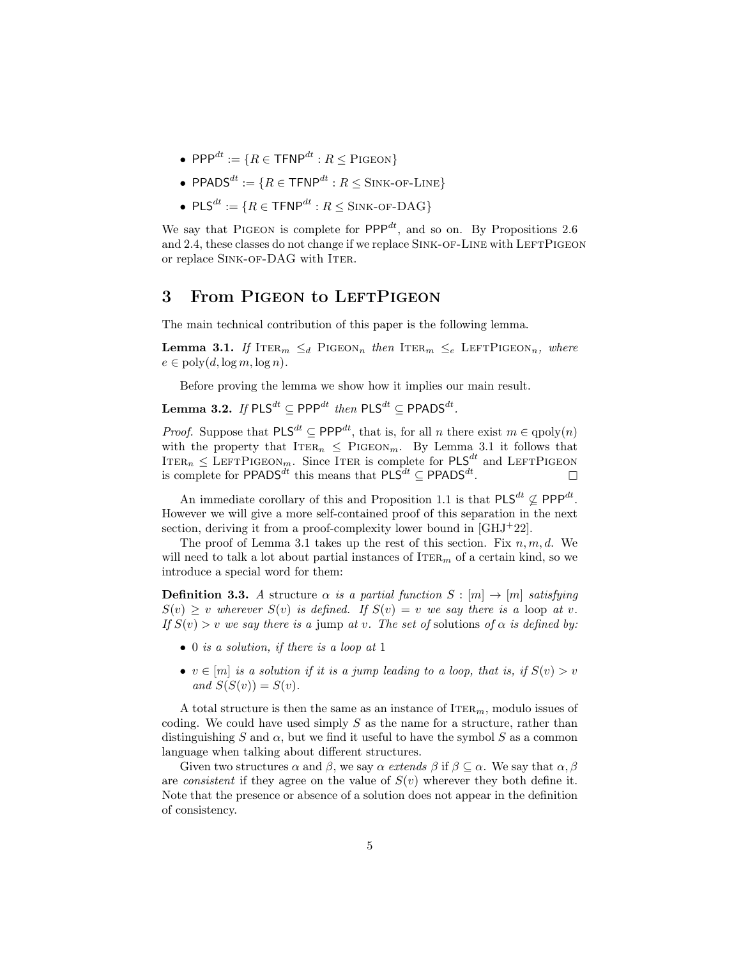- $\bullet$  PPP<sup>*dt*</sup> := {*R*  $\in$  TFNP<sup>*dt*</sup> : *R*  $\leq$  PIGEON}
- $\bullet$  PPADS<sup>*dt*</sup> := {*R* ∈ TFNP<sup>*dt*</sup> : *R* ≤ SINK-OF-LINE}
- $PLS^{dt} := \{ R \in \text{TFNP}^{dt} : R \leq \text{SINK-OF-DAG} \}$

We say that PIGEON is complete for  $\mathsf{PPP}^{dt}$ , and so on. By Propositions 2.6 and 2.4, these classes do not change if we replace SINK-OF-LINE with LEFTPIGEON or replace SINK-OF-DAG with ITER.

### 3 From PIGEON to LEFTPIGEON

The main technical contribution of this paper is the following lemma.

**Lemma 3.1.** If ITER<sub>*m*</sub>  $\leq_d$  PIGEON<sub>*n*</sub> *then* ITER<sub>*m*</sub>  $\leq_e$  LEFTPIGEON<sub>*n*</sub>, *where*  $e \in \text{poly}(d, \log m, \log n)$ .

Before proving the lemma we show how it implies our main result.

 $\textbf{Lemma 3.2.}$  *If*  $\text{PLS}^{dt}$  ⊆  $\text{PPP}^{dt}$  *then*  $\text{PLS}^{dt}$  ⊆  $\text{PPADS}^{dt}$ *.* 

*Proof.* Suppose that  $PLS^{dt} \subseteq PPP^{dt}$ , that is, for all *n* there exist  $m \in qpoly(n)$ with the property that  $ITER_n \n\leq$  PIGEON<sub>*m*</sub>. By Lemma 3.1 it follows that  $ITER_n \leq LEFTHGEON_m$ . Since ITER is complete for  $PLS^{dt}$  and LEFTPIGEON is complete for  $\mathsf{PPADS}^{dt}$  this means that  $\mathsf{PLS}^{dt} \subseteq \mathsf{PPADS}^{dt}$ .

An immediate corollary of this and Proposition 1.1 is that  $PLS^{dt} \nsubseteq PPP^{dt}$ . However we will give a more self-contained proof of this separation in the next section, deriving it from a proof-complexity lower bound in [GHJ<sup>+</sup>22].

The proof of Lemma 3.1 takes up the rest of this section. Fix *n, m, d*. We will need to talk a lot about partial instances of  $\text{ITER}_m$  of a certain kind, so we introduce a special word for them:

**Definition 3.3.** A structure  $\alpha$  *is a partial function*  $S : [m] \rightarrow [m]$  *satisfying*  $S(v) > v$  wherever  $S(v)$  *is defined.* If  $S(v) = v$  *we say there is a* loop *at v*.  $If S(v) > v$  *we say there is a* jump *at v. The set of solutions of*  $\alpha$  *is defined by:* 

- *•* 0 *is a solution, if there is a loop at* 1
- $v \in [m]$  is a solution if it is a jump leading to a loop, that is, if  $S(v) > v$  $and S(S(v)) = S(v).$

A total structure is then the same as an instance of Iter*m*, modulo issues of coding. We could have used simply *S* as the name for a structure, rather than distinguishing *S* and  $\alpha$ , but we find it useful to have the symbol *S* as a common language when talking about different structures.

Given two structures  $\alpha$  and  $\beta$ , we say  $\alpha$  *extends*  $\beta$  if  $\beta \subset \alpha$ . We say that  $\alpha, \beta$ are *consistent* if they agree on the value of  $S(v)$  wherever they both define it. Note that the presence or absence of a solution does not appear in the definition of consistency.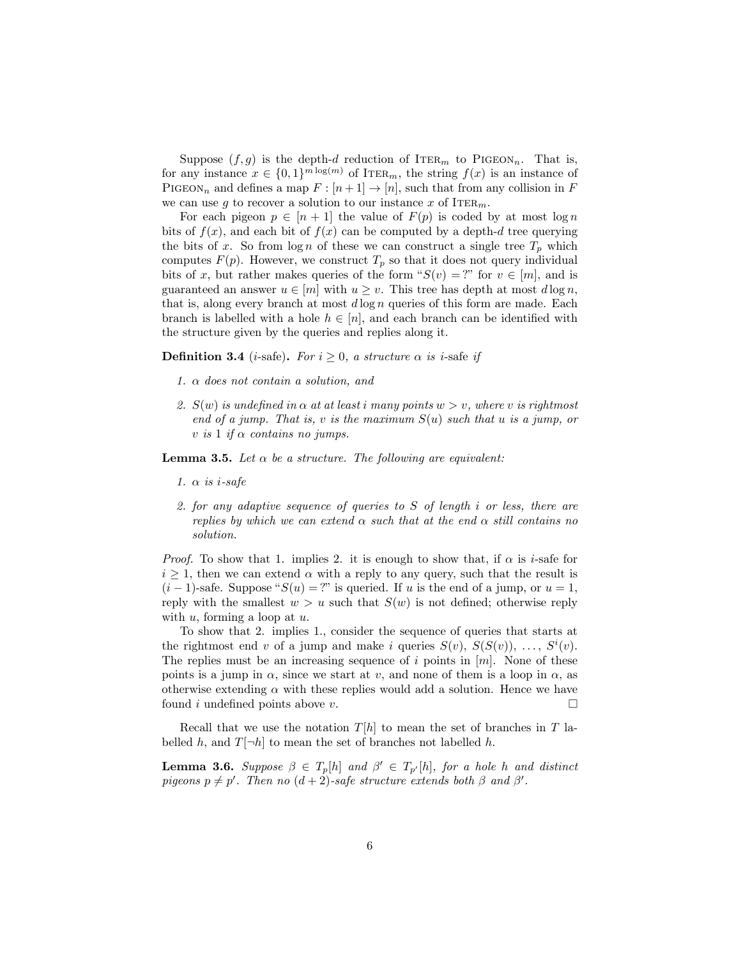Suppose  $(f, g)$  is the depth-*d* reduction of ITER<sub>*m*</sub> to PIGEON<sub>*n*</sub>. That is, for any instance  $x \in \{0,1\}^{m \log(m)}$  of ITER<sub>*m*</sub>, the string  $f(x)$  is an instance of PIGEON<sub>n</sub> and defines a map  $F : [n+1] \to [n]$ , such that from any collision in F we can use *g* to recover a solution to our instance *x* of ITER<sub>*m*</sub>.

For each pigeon  $p \in [n+1]$  the value of  $F(p)$  is coded by at most  $\log n$ bits of  $f(x)$ , and each bit of  $f(x)$  can be computed by a depth-*d* tree querying the bits of *x*. So from  $\log n$  of these we can construct a single tree  $T_p$  which computes  $F(p)$ . However, we construct  $T_p$  so that it does not query individual bits of *x*, but rather makes queries of the form " $S(v) = ?$ " for  $v \in [m]$ , and is guaranteed an answer  $u \in [m]$  with  $u \geq v$ . This tree has depth at most  $d \log n$ , that is, along every branch at most *d* log *n* queries of this form are made. Each branch is labelled with a hole  $h \in [n]$ , and each branch can be identified with the structure given by the queries and replies along it.

**Definition 3.4** (*i*-safe). *For*  $i \geq 0$ , *a structure*  $\alpha$  *is i*-safe *if* 

- *1.* α *does not contain a solution, and*
- *2.*  $S(w)$  *is undefined in*  $\alpha$  *at at least i many points*  $w > v$ *, where v is rightmost end of a jump*. That *is, v is the maximum*  $S(u)$  *such that u is a jump, or*  $v$  *is* 1 *if*  $\alpha$  *contains no jumps.*

**Lemma 3.5.** Let  $\alpha$  be a structure. The following are equivalent:

- *1.* α *is i-safe*
- *2. for any adaptive sequence of queries to S of length i or less, there are replies* by which we can extend  $\alpha$  such that at the end  $\alpha$  still contains no *solution.*

*Proof.* To show that 1. implies 2. it is enough to show that, if  $\alpha$  is *i*-safe for  $i \geq 1$ , then we can extend  $\alpha$  with a reply to any query, such that the result is  $(i-1)$ -safe. Suppose " $S(u) = ?$ " is queried. If *u* is the end of a jump, or  $u = 1$ , reply with the smallest  $w > u$  such that  $S(w)$  is not defined; otherwise reply with *u*, forming a loop at *u*.

To show that 2. implies 1., consider the sequence of queries that starts at the rightmost end *v* of a jump and make *i* queries  $S(v)$ ,  $S(S(v))$ , ...,  $S^{i}(v)$ . The replies must be an increasing sequence of *i* points in [*m*]. None of these points is a jump in  $\alpha$ , since we start at *v*, and none of them is a loop in  $\alpha$ , as otherwise extending  $\alpha$  with these replies would add a solution. Hence we have found *i* undefined points above *v*. П

Recall that we use the notation  $T[h]$  to mean the set of branches in  $T$  labelled *h*, and  $T[\neg h]$  to mean the set of branches not labelled *h*.

**Lemma 3.6.** Suppose  $\beta \in T_p[h]$  and  $\beta' \in T_{p'}[h]$ , for a hole *h* and distinct  $p$ *igeons*  $p \neq p'$ . Then  $no$   $(d+2)$ -safe structure extends both  $\beta$  and  $\beta'$ .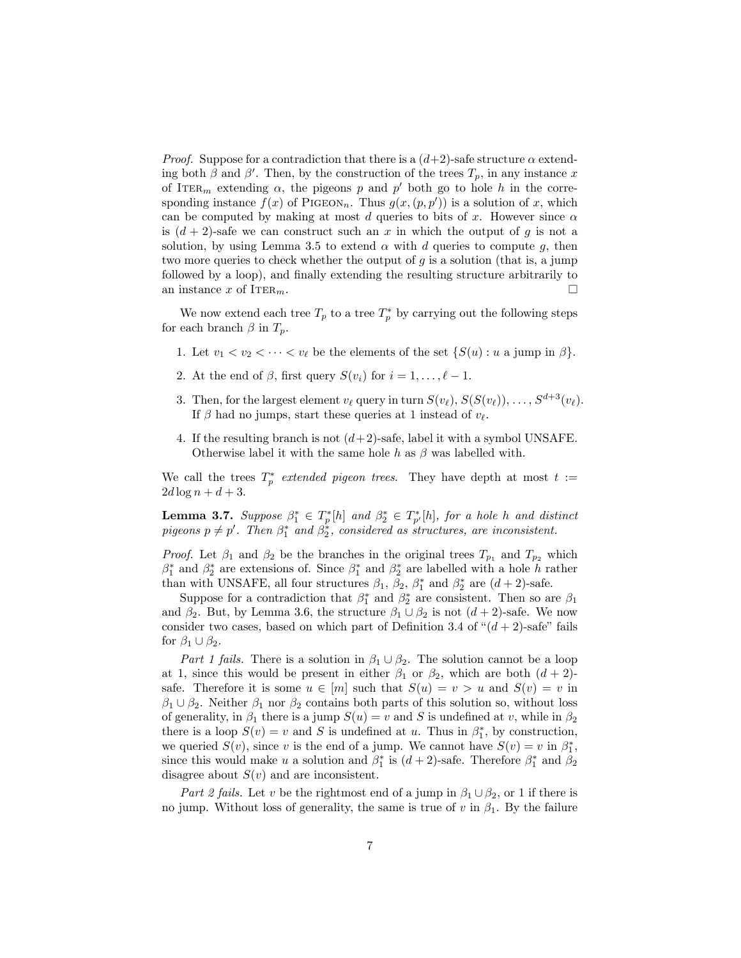*Proof.* Suppose for a contradiction that there is a  $(d+2)$ -safe structure  $\alpha$  extending both  $\beta$  and  $\beta'$ . Then, by the construction of the trees  $T_p$ , in any instance  $x$ of ITER<sub>*m*</sub> extending  $\alpha$ , the pigeons *p* and *p'* both go to hole *h* in the corresponding instance  $f(x)$  of PIGEON<sub>n</sub>. Thus  $g(x,(p,p'))$  is a solution of x, which can be computed by making at most *d* queries to bits of *x*. However since  $\alpha$ is  $(d+2)$ -safe we can construct such an x in which the output of g is not a solution, by using Lemma 3.5 to extend  $\alpha$  with  $d$  queries to compute  $g$ , then two more queries to check whether the output of *g* is a solution (that is, a jump followed by a loop), and finally extending the resulting structure arbitrarily to an instance  $x$  of  $IrER_m$ .  $\Box$ 

We now extend each tree  $T_p$  to a tree  $T_p^*$  by carrying out the following steps for each branch  $\beta$  in  $T_p$ .

- 1. Let  $v_1 < v_2 < \cdots < v_\ell$  be the elements of the set  $\{S(u): u \text{ a jump in } \beta\}.$
- 2. At the end of  $\beta$ , first query  $S(v_i)$  for  $i = 1, \ldots, \ell 1$ .
- 3. Then, for the largest element  $v_{\ell}$  query in turn  $S(v_{\ell}), S(S(v_{\ell})), \ldots, S^{d+3}(v_{\ell}).$ If  $\beta$  had no jumps, start these queries at 1 instead of  $v_{\ell}$ .
- 4. If the resulting branch is not  $(d+2)$ -safe, label it with a symbol UNSAFE. Otherwise label it with the same hole  $h$  as  $\beta$  was labelled with.

We call the trees  $T_p^*$  *extended pigeon trees.* They have depth at most  $t :=$  $2d \log n + d + 3.$ 

**Lemma 3.7.** Suppose  $\beta_1^* \in T_p^*[h]$  and  $\beta_2^* \in T_{p'}^*[h]$ , for a hole *h* and distinct  $p$ *igeons*  $p \neq p'$ . Then  $\beta_1^*$  and  $\beta_2^*$ , considered as structures, are inconsistent.

*Proof.* Let  $\beta_1$  and  $\beta_2$  be the branches in the original trees  $T_{p_1}$  and  $T_{p_2}$  which  $\beta_1^*$  and  $\beta_2^*$  are extensions of. Since  $\beta_1^*$  and  $\beta_2^*$  are labelled with a hole *h* rather than with UNSAFE, all four structures  $\beta_1$ ,  $\beta_2$ ,  $\beta_1^*$  and  $\beta_2^*$  are  $(d+2)$ -safe.

Suppose for a contradiction that  $\beta_1^*$  and  $\beta_2^*$  are consistent. Then so are  $\beta_1$ and  $\beta_2$ . But, by Lemma 3.6, the structure  $\beta_1 \cup \beta_2$  is not  $(d+2)$ -safe. We now consider two cases, based on which part of Definition 3.4 of " $(d+2)$ -safe" fails for  $\beta_1 \cup \beta_2$ .

*Part 1 fails*. There is a solution in  $\beta_1 \cup \beta_2$ . The solution cannot be a loop at 1, since this would be present in either  $\beta_1$  or  $\beta_2$ , which are both  $(d+2)$ safe. Therefore it is some  $u \in [m]$  such that  $S(u) = v > u$  and  $S(v) = v$  in  $\beta_1 \cup \beta_2$ . Neither  $\beta_1$  nor  $\beta_2$  contains both parts of this solution so, without loss of generality, in  $\beta_1$  there is a jump  $S(u) = v$  and *S* is undefined at *v*, while in  $\beta_2$ there is a loop  $S(v) = v$  and *S* is undefined at *u*. Thus in  $\beta_1^*$ , by construction, we queried  $S(v)$ , since *v* is the end of a jump. We cannot have  $S(v) = v$  in  $\beta_1^*$ , since this would make *u* a solution and  $\beta_1^*$  is  $(d+2)$ -safe. Therefore  $\beta_1^*$  and  $\beta_2$ disagree about *S*(*v*) and are inconsistent.

*Part* 2 *fails*. Let *v* be the rightmost end of a jump in  $\beta_1 \cup \beta_2$ , or 1 if there is no jump. Without loss of generality, the same is true of *v* in  $\beta_1$ . By the failure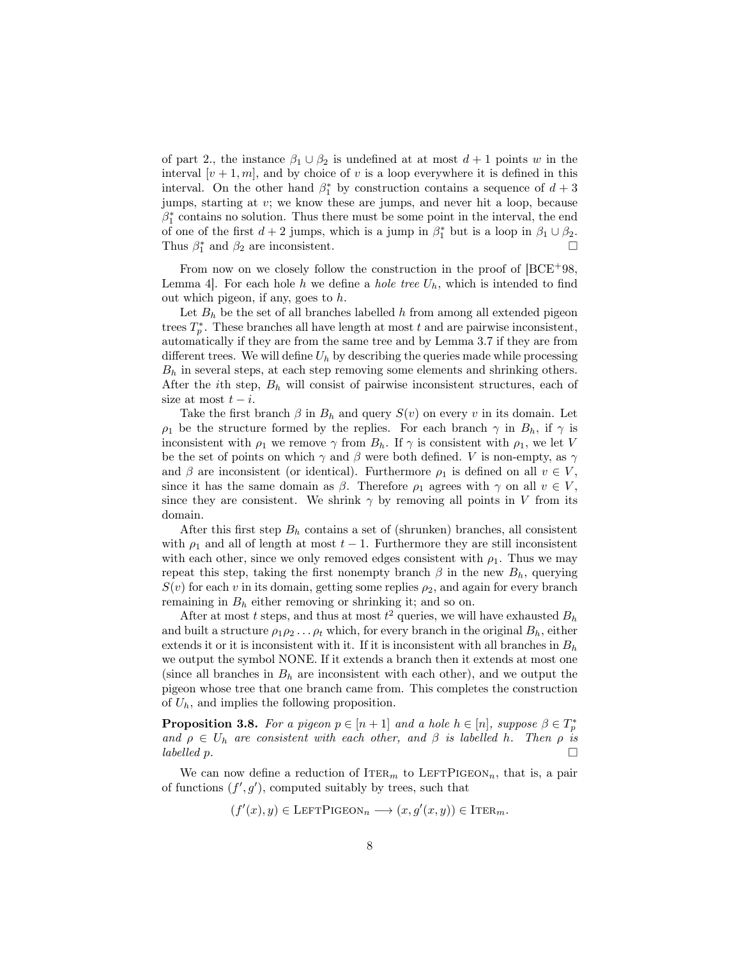of part 2., the instance  $\beta_1 \cup \beta_2$  is undefined at at most  $d+1$  points *w* in the interval  $[v + 1, m]$ , and by choice of *v* is a loop everywhere it is defined in this interval. On the other hand  $\beta_1^*$  by construction contains a sequence of  $d+3$ jumps, starting at *v*; we know these are jumps, and never hit a loop, because  $\beta_1^*$  contains no solution. Thus there must be some point in the interval, the end of one of the first  $d + 2$  jumps, which is a jump in  $\beta_1^*$  but is a loop in  $\beta_1 \cup \beta_2$ . Thus  $\beta_1^*$  and  $\beta_2$  are inconsistent.

From now on we closely follow the construction in the proof of  $[BCE^+98,$ Lemma 4. For each hole h we define a *hole* tree  $U_h$ , which is intended to find out which pigeon, if any, goes to *h*.

Let  $B_h$  be the set of all branches labelled  $h$  from among all extended pigeon trees  $T_p^*$ . These branches all have length at most  $t$  and are pairwise inconsistent, automatically if they are from the same tree and by Lemma 3.7 if they are from different trees. We will define  $U_h$  by describing the queries made while processing *B<sup>h</sup>* in several steps, at each step removing some elements and shrinking others. After the *i*th step, *B<sup>h</sup>* will consist of pairwise inconsistent structures, each of size at most  $t - i$ .

Take the first branch  $\beta$  in  $B_h$  and query  $S(v)$  on every *v* in its domain. Let  $\rho_1$  be the structure formed by the replies. For each branch  $\gamma$  in  $B_h$ , if  $\gamma$  is inconsistent with  $\rho_1$  we remove  $\gamma$  from  $B_h$ . If  $\gamma$  is consistent with  $\rho_1$ , we let *V* be the set of points on which  $\gamma$  and  $\beta$  were both defined. *V* is non-empty, as  $\gamma$ and  $\beta$  are inconsistent (or identical). Furthermore  $\rho_1$  is defined on all  $v \in V$ , since it has the same domain as  $\beta$ . Therefore  $\rho_1$  agrees with  $\gamma$  on all  $v \in V$ , since they are consistent. We shrink  $\gamma$  by removing all points in *V* from its domain.

After this first step  $B_h$  contains a set of (shrunken) branches, all consistent with  $\rho_1$  and all of length at most  $t-1$ . Furthermore they are still inconsistent with each other, since we only removed edges consistent with  $\rho_1$ . Thus we may repeat this step, taking the first nonempty branch  $\beta$  in the new  $B_h$ , querying  $S(v)$  for each *v* in its domain, getting some replies  $\rho_2$ , and again for every branch remaining in *B<sup>h</sup>* either removing or shrinking it; and so on.

After at most *t* steps, and thus at most  $t^2$  queries, we will have exhausted  $B_h$ and built a structure  $\rho_1 \rho_2 \ldots \rho_t$  which, for every branch in the original  $B_h$ , either extends it or it is inconsistent with it. If it is inconsistent with all branches in *B<sup>h</sup>* we output the symbol NONE. If it extends a branch then it extends at most one (since all branches in  $B_h$  are inconsistent with each other), and we output the pigeon whose tree that one branch came from. This completes the construction of *Uh*, and implies the following proposition.

**Proposition 3.8.** For a pigeon  $p \in [n+1]$  and a hole  $h \in [n]$ , suppose  $\beta \in T_p^*$ *and*  $\rho \in U_h$  *are consistent with each other, and*  $\beta$  *is labelled h. Then*  $\rho$  *is labelled n*. *labelled p.*

We can now define a reduction of  $ITER_m$  to  $LEFTPIGEON_n$ , that is, a pair of functions  $(f', g')$ , computed suitably by trees, such that

$$
(f'(x), y) \in \text{LEFTPIGEON}_n \longrightarrow (x, g'(x, y)) \in \text{ITER}_m.
$$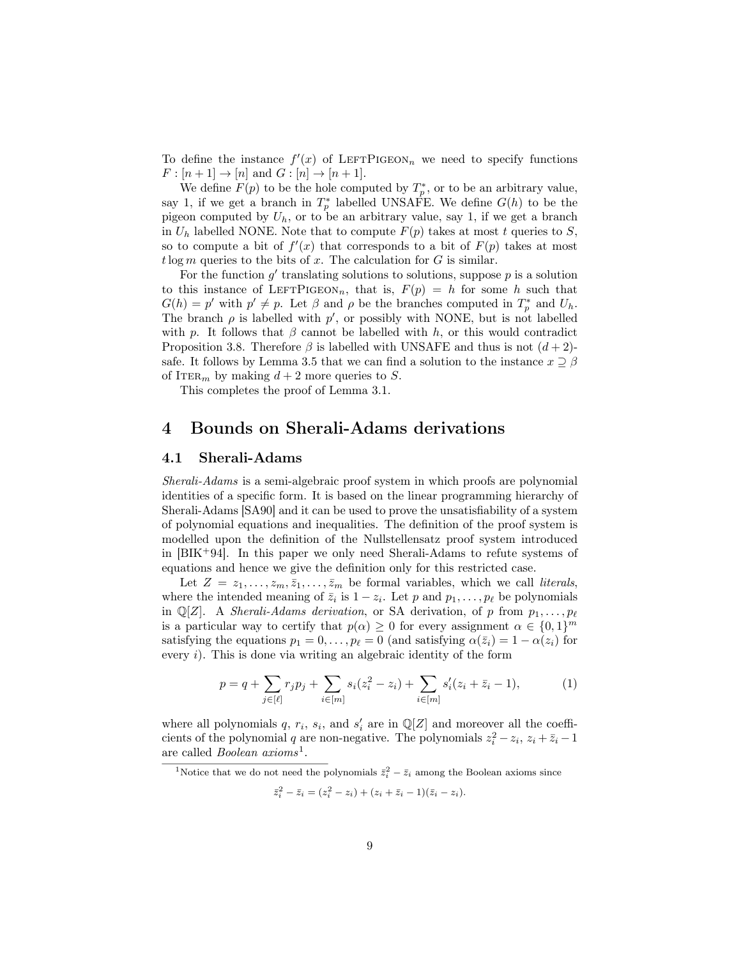To define the instance  $f'(x)$  of LEFTPIGEON<sub>n</sub> we need to specify functions  $F: [n+1] \to [n] \text{ and } G: [n] \to [n+1].$ 

We define  $F(p)$  to be the hole computed by  $T_p^*$ , or to be an arbitrary value, say 1, if we get a branch in  $T_p^*$  labelled UNSAFE. We define  $G(h)$  to be the pigeon computed by *Uh*, or to be an arbitrary value, say 1, if we get a branch in  $U_h$  labelled NONE. Note that to compute  $F(p)$  takes at most *t* queries to *S*, so to compute a bit of  $f'(x)$  that corresponds to a bit of  $F(p)$  takes at most  $t \log m$  queries to the bits of  $x$ . The calculation for  $G$  is similar.

For the function  $g'$  translating solutions to solutions, suppose  $p$  is a solution to this instance of LEFTPIGEON<sub>n</sub>, that is,  $F(p) = h$  for some h such that  $G(h) = p'$  with  $p' \neq p$ . Let  $\beta$  and  $\rho$  be the branches computed in  $T_p^*$  and  $U_h$ . The branch  $\rho$  is labelled with  $p'$ , or possibly with NONE, but is not labelled with *p*. It follows that  $\beta$  cannot be labelled with *h*, or this would contradict Proposition 3.8. Therefore  $\beta$  is labelled with UNSAFE and thus is not  $(d+2)$ safe. It follows by Lemma 3.5 that we can find a solution to the instance  $x \supseteq \beta$ of ITER<sub>*m*</sub> by making  $d+2$  more queries to *S*.

This completes the proof of Lemma 3.1.

### 4 Bounds on Sherali-Adams derivations

#### 4.1 Sherali-Adams

*Sherali-Adams* is a semi-algebraic proof system in which proofs are polynomial identities of a specific form. It is based on the linear programming hierarchy of Sherali-Adams [SA90] and it can be used to prove the unsatisfiability of a system of polynomial equations and inequalities. The definition of the proof system is modelled upon the definition of the Nullstellensatz proof system introduced in  $[BIK^+94]$ . In this paper we only need Sherali-Adams to refute systems of equations and hence we give the definition only for this restricted case.

Let  $Z = z_1, \ldots, z_m, \bar{z}_1, \ldots, \bar{z}_m$  be formal variables, which we call *literals*, where the intended meaning of  $\bar{z}_i$  is  $1 - z_i$ . Let *p* and  $p_1, \ldots, p_\ell$  be polynomials in  $\mathbb{Q}[Z]$ . A *Sherali-Adams derivation*, or SA derivation, of *p* from  $p_1, \ldots, p_\ell$ is a particular way to certify that  $p(\alpha) \geq 0$  for every assignment  $\alpha \in \{0,1\}^m$ satisfying the equations  $p_1 = 0, \ldots, p_\ell = 0$  (and satisfying  $\alpha(\bar{z}_i) = 1 - \alpha(z_i)$ ) for every *i*). This is done via writing an algebraic identity of the form

$$
p = q + \sum_{j \in [\ell]} r_j p_j + \sum_{i \in [m]} s_i (z_i^2 - z_i) + \sum_{i \in [m]} s'_i (z_i + \bar{z}_i - 1), \tag{1}
$$

where all polynomials  $q, r_i, s_i$ , and  $s'_i$  are in  $\mathbb{Q}[Z]$  and moreover all the coefficients of the polynomial *q* are non-negative. The polynomials  $z_i^2 - z_i$ ,  $z_i + \bar{z}_i - 1$ are called *Boolean axioms*1.

<sup>1</sup>Notice that we do not need the polynomials  $\bar{z}_i^2 - \bar{z}_i$  among the Boolean axioms since

$$
\bar{z}_i^2 - \bar{z}_i = (z_i^2 - z_i) + (z_i + \bar{z}_i - 1)(\bar{z}_i - z_i).
$$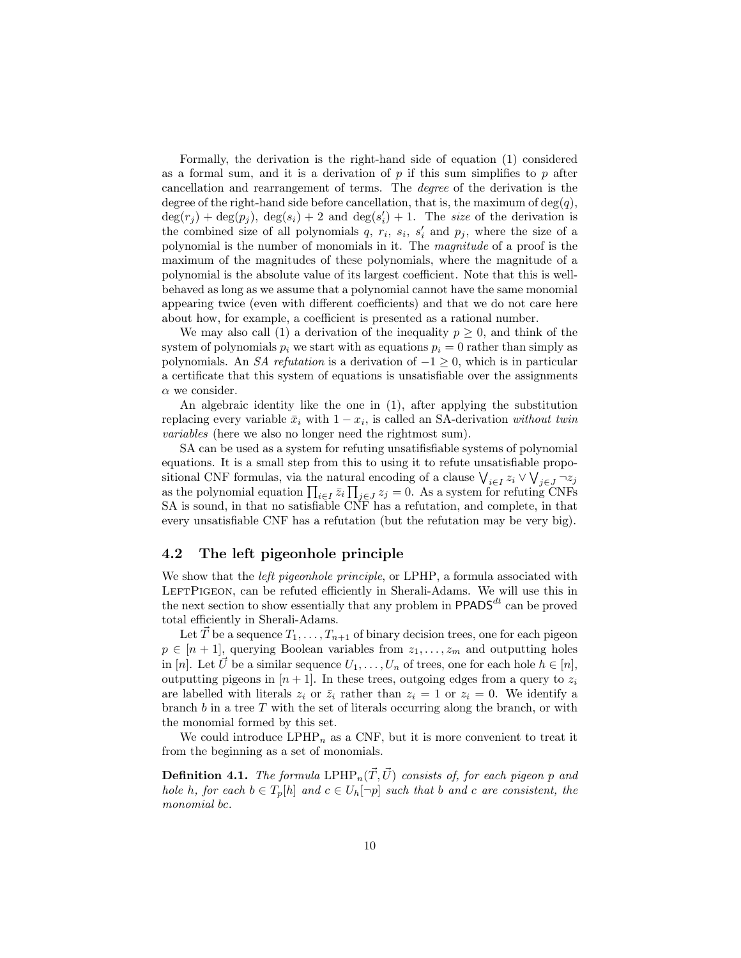Formally, the derivation is the right-hand side of equation (1) considered as a formal sum, and it is a derivation of *p* if this sum simplifies to *p* after cancellation and rearrangement of terms. The *degree* of the derivation is the degree of the right-hand side before cancellation, that is, the maximum of  $deg(q)$ ,  $deg(r_j) + deg(p_j)$ ,  $deg(s_i) + 2$  and  $deg(s'_i) + 1$ . The *size* of the derivation is the combined size of all polynomials  $q$ ,  $r_i$ ,  $s_i$ ,  $s'_i$  and  $p_j$ , where the size of a polynomial is the number of monomials in it. The *magnitude* of a proof is the maximum of the magnitudes of these polynomials, where the magnitude of a polynomial is the absolute value of its largest coefficient. Note that this is wellbehaved as long as we assume that a polynomial cannot have the same monomial appearing twice (even with different coefficients) and that we do not care here about how, for example, a coefficient is presented as a rational number.

We may also call (1) a derivation of the inequality  $p \geq 0$ , and think of the system of polynomials  $p_i$  we start with as equations  $p_i = 0$  rather than simply as polynomials. An *SA refutation* is a derivation of  $-1 \geq 0$ , which is in particular a certificate that this system of equations is unsatisfiable over the assignments  $\alpha$  we consider.

An algebraic identity like the one in (1), after applying the substitution replacing every variable  $\bar{x}_i$  with  $1 - x_i$ , is called an SA-derivation *without twin variables* (here we also no longer need the rightmost sum).

SA can be used as a system for refuting unsatifisfiable systems of polynomial equations. It is a small step from this to using it to refute unsatisfiable propositional CNF formulas, via the natural encoding of a clause  $\bigvee_{i \in I} z_i \vee \bigvee_{j \in J} \neg z_j$ as the polynomial equation  $\prod_{i\in I} \bar{z}_i \prod_{j\in J} z_j = 0$ . As a system for refuting CNFs SA is sound, in that no satisfiable CNF has a refutation, and complete, in that every unsatisfiable CNF has a refutation (but the refutation may be very big).

#### 4.2 The left pigeonhole principle

We show that the *left pigeonhole principle*, or LPHP, a formula associated with LEFTPIGEON, can be refuted efficiently in Sherali-Adams. We will use this in the next section to show essentially that any problem in  $\mathsf{PPADS}^{dt}$  can be proved total efficiently in Sherali-Adams.

Let  $\vec{T}$  be a sequence  $T_1, \ldots, T_{n+1}$  of binary decision trees, one for each pigeon  $p \in [n + 1]$ , querying Boolean variables from  $z_1, \ldots, z_m$  and outputting holes in [*n*]. Let  $\vec{U}$  be a similar sequence  $U_1, \ldots, U_n$  of trees, one for each hole  $h \in [n]$ , outputting pigeons in  $[n+1]$ . In these trees, outgoing edges from a query to  $z_i$ are labelled with literals  $z_i$  or  $\overline{z}_i$  rather than  $z_i = 1$  or  $z_i = 0$ . We identify a branch *b* in a tree *T* with the set of literals occurring along the branch, or with the monomial formed by this set.

We could introduce  $LPHP_n$  as a CNF, but it is more convenient to treat it from the beginning as a set of monomials.

**Definition 4.1.** *The formula*  $LPHP_n(\vec{T}, \vec{U})$  *consists of, for each pigeon p and* hole h, for each  $b \in T_p[h]$  and  $c \in U_h[\neg p]$  such that b and c are consistent, the *monomial bc.*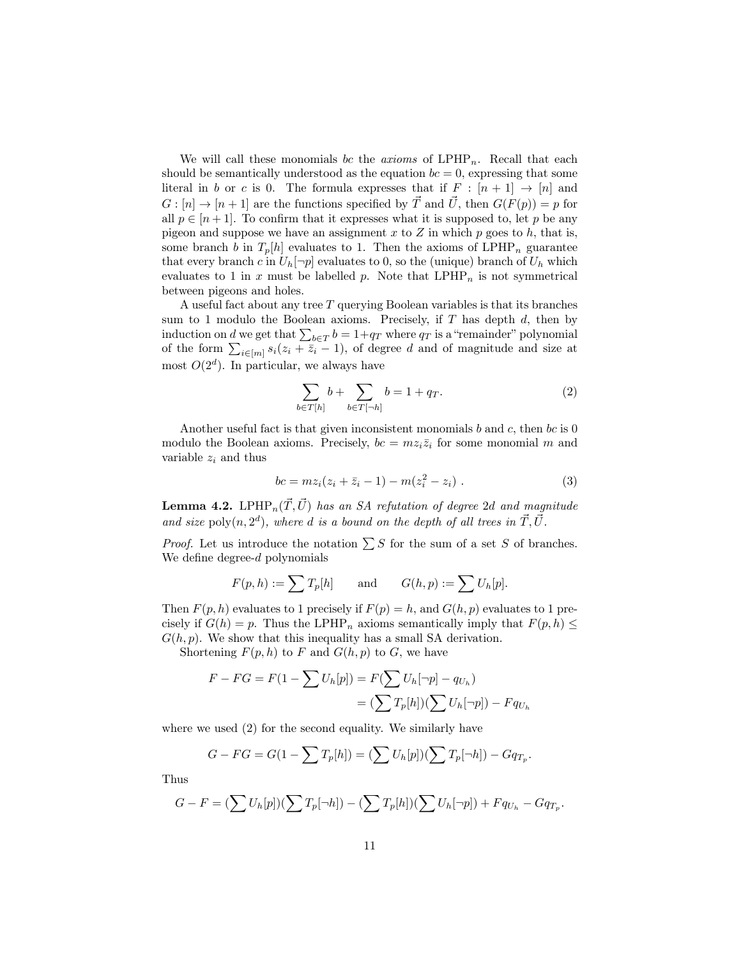We will call these monomials *bc* the *axioms* of  $LPHP_n$ . Recall that each should be semantically understood as the equation  $bc = 0$ , expressing that some literal in *b* or *c* is 0. The formula expresses that if  $F : [n+1] \rightarrow [n]$  and  $G: [n] \to [n+1]$  are the functions specified by  $\vec{T}$  and  $\vec{U}$ , then  $G(F(p)) = p$  for all  $p \in [n+1]$ . To confirm that it expresses what it is supposed to, let p be any pigeon and suppose we have an assignment  $x$  to  $Z$  in which  $p$  goes to  $h$ , that is, some branch *b* in  $T_p[h]$  evaluates to 1. Then the axioms of LPHP<sub>n</sub> guarantee that every branch *c* in  $U_h[\neg p]$  evaluates to 0, so the (unique) branch of  $U_h$  which evaluates to 1 in  $x$  must be labelled  $p$ . Note that  $LPHP_n$  is not symmetrical between pigeons and holes.

A useful fact about any tree *T* querying Boolean variables is that its branches sum to 1 modulo the Boolean axioms. Precisely, if *T* has depth *d*, then by induction on *d* we get that  $\sum_{b \in T} b = 1 + q_T$  where  $q_T$  is a "remainder" polynomial of the form  $\sum_{i\in[m]} s_i(z_i + \overline{z_i} - 1)$ , of degree *d* and of magnitude and size at most  $O(2<sup>d</sup>)$ . In particular, we always have

$$
\sum_{b \in T[h]} b + \sum_{b \in T[\neg h]} b = 1 + q_T. \tag{2}
$$

Another useful fact is that given inconsistent monomials *b* and *c*, then *bc* is 0 modulo the Boolean axioms. Precisely,  $bc = mz_i\overline{z}_i$  for some monomial *m* and variable  $z_i$  and thus

$$
bc = mz_i(z_i + \bar{z}_i - 1) - m(z_i^2 - z_i) . \tag{3}
$$

**Lemma 4.2.** LPHP<sub>n</sub> $(\vec{T}, \vec{U})$  *has an SA refutation of degree 2d and magnitude and size* poly $(n, 2^d)$ *, where d is a bound on the depth of all trees in*  $\vec{T}, \vec{U}$ *.* 

*Proof.* Let us introduce the notation  $\sum S$  for the sum of a set *S* of branches. We define degree-*d* polynomials

$$
F(p,h) := \sum T_p[h]
$$
 and  $G(h,p) := \sum U_h[p].$ 

Then  $F(p, h)$  evaluates to 1 precisely if  $F(p) = h$ , and  $G(h, p)$  evaluates to 1 precisely if  $G(h) = p$ . Thus the LPHP<sub>n</sub> axioms semantically imply that  $F(p, h) \leq$  $G(h, p)$ . We show that this inequality has a small SA derivation.

Shortening  $F(p, h)$  to  $F$  and  $G(h, p)$  to  $G$ , we have

$$
F - FG = F(1 - \sum U_h[p]) = F(\sum U_h[\neg p] - q_{U_h})
$$
  
= 
$$
(\sum T_p[h])(\sum U_h[\neg p]) - Fq_{U_h}
$$

where we used  $(2)$  for the second equality. We similarly have

$$
G - FG = G(1 - \sum T_p[h]) = (\sum U_h[p])(\sum T_p[\neg h]) - Gq_{T_p}.
$$

Thus

$$
G-F=(\sum U_h[p])(\sum T_p[\neg h])-(\sum T_p[h])(\sum U_h[\neg p])+Fq_{U_h}-Gq_{T_p}.
$$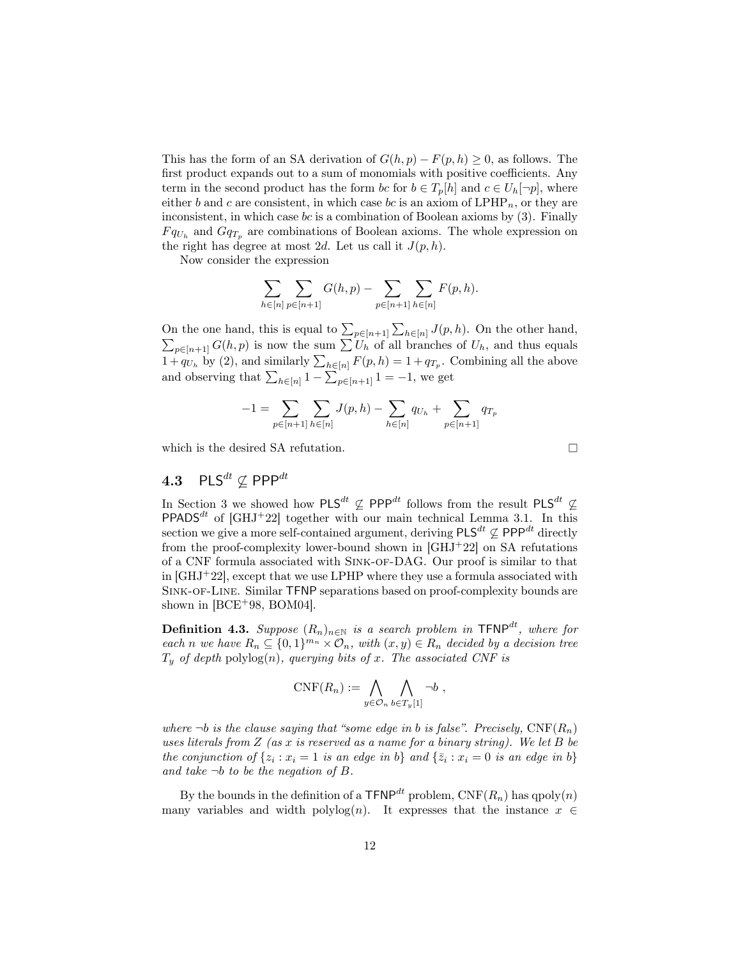This has the form of an SA derivation of  $G(h, p) - F(p, h) \geq 0$ , as follows. The first product expands out to a sum of monomials with positive coefficients. Any term in the second product has the form *bc* for  $b \in T_p[h]$  and  $c \in U_h[\neg p]$ , where either *b* and *c* are consistent, in which case *bc* is an axiom of  $LPHP_n$ , or they are inconsistent, in which case *bc* is a combination of Boolean axioms by (3). Finally  $F q_{U_h}$  and  $G q_{T_p}$  are combinations of Boolean axioms. The whole expression on the right has degree at most 2*d*. Let us call it  $J(p, h)$ .

Now consider the expression

$$
\sum_{h \in [n]} \sum_{p \in [n+1]} G(h, p) - \sum_{p \in [n+1]} \sum_{h \in [n]} F(p, h).
$$

On the one hand, this is equal to  $\sum_{p \in [n+1]} \sum_{h \in [n]} J(p, h)$ . On the other hand,<br> $\sum_{p \in [n+1]} G(h, p)$  is now the sum  $\sum U_h$  of all branches of  $U_h$ , and thus equals  $1+q_{U_h}$  by (2), and similarly  $\sum_{h\in[n]} F(p,h) = 1+q_{T_p}$ . Combining all the above and observing that  $\sum_{h \in [n]} 1 - \sum_{p \in [n+1]} 1 = -1$ , we get

$$
-1 = \sum_{p \in [n+1]} \sum_{h \in [n]} J(p, h) - \sum_{h \in [n]} q_{U_h} + \sum_{p \in [n+1]} q_{T_p}
$$

which is the desired SA refutation.

# 4.3 PLS*dt* ∕⊆ PPP*dt*

In Section 3 we showed how PLS<sup>dt</sup>  $\varphi$  PPP<sup>dt</sup> follows from the result PLS<sup>dt</sup>  $\varphi$ **PPADS<sup>dt</sup>** of [GHJ+22] together with our main technical Lemma 3.1. In this section we give <sup>a</sup> more self-contained argument, deriving PLS*dt* ∕⊆ PPP*dt* directly from the proof-complexity lower-bound shown in  $\left[ \text{GHJ}^+22 \right]$  on SA refutations of a CNF formula associated with Sink-of-DAG. Our proof is similar to that in  $[GHJ+22]$ , except that we use LPHP where they use a formula associated with Sink-of-Line. Similar TFNP separations based on proof-complexity bounds are shown in  $[BCE+98, BOM04]$ .

 $\mathbf{Definition 4.3.}$   $Suppose (R_n)_{n \in \mathbb{N}}$  *is a search problem in*  $\mathsf{TFNP}^{dt}$ *, where for* each n we have  $R_n \subseteq \{0,1\}^{m_n} \times O_n$ , with  $(x, y) \in R_n$  decided by a decision tree  $T_y$  *of depth* polylog $(n)$ *, querying bits of x. The associated CNF is* 

$$
\mathrm{CNF}(R_n) := \bigwedge_{y \in \mathcal{O}_n} \bigwedge_{b \in T_y[1]} \neg b ,
$$

*where*  $\neg b$  *is the clause saying that "some edge in b is false". Precisely,*  $CNF(R_n)$ *uses literals from Z (as x is reserved as a name for a binary string). We let B be* the conjunction of  $\{z_i : x_i = 1 \text{ is an edge in } b\}$  and  $\{\bar{z}_i : x_i = 0 \text{ is an edge in } b\}$ *and take ¬b to be the negation of B.*

By the bounds in the definition of a  $\mathsf{TFNP}^{dt}$  problem,  $\mathsf{CNF}(R_n)$  has  $q \text{poly}(n)$ many variables and width polylog(*n*). It expresses that the instance  $x \in$ 

 $\Box$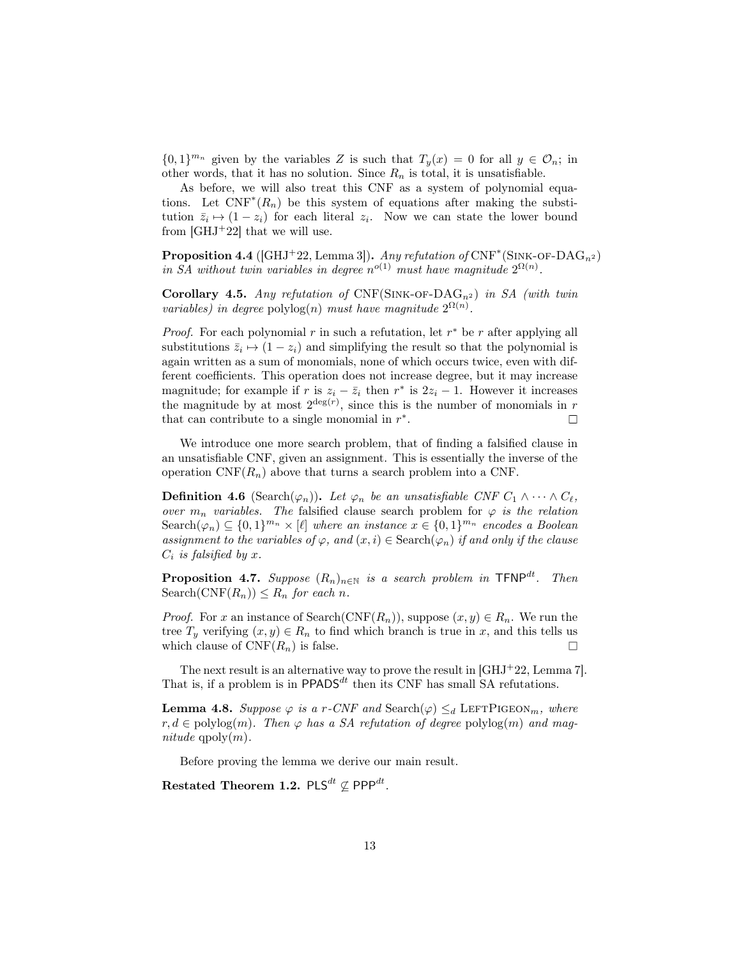$\{0,1\}^{m_n}$  given by the variables *Z* is such that  $T_y(x) = 0$  for all  $y \in \mathcal{O}_n$ ; in other words, that it has no solution. Since  $R_n$  is total, it is unsatisfiable.

As before, we will also treat this CNF as a system of polynomial equations. Let  $\text{CNF}^*(R_n)$  be this system of equations after making the substitution  $\bar{z}_i \mapsto (1-z_i)$  for each literal  $z_i$ . Now we can state the lower bound from  $[GHJ+22]$  that we will use.

**Proposition 4.4** ([GHJ<sup>+</sup>22, Lemma 3]). *Any refutation of*  $CNF^*(SINK-OF- DAG_{n^2})$ *in SA without twin variables in degree*  $n^{o(1)}$  *must have magnitude*  $2^{\Omega(n)}$ *.* 

Corollary 4.5. Any refutation of  $CNF(SINK-OF-DAG_n^2)$  in SA (with twin *variables) in degree* polylog(*n*) *must have magnitude*  $2^{\Omega(n)}$ *.* 

*Proof.* For each polynomial *r* in such a refutation, let *r*<sup>∗</sup> be *r* after applying all substitutions  $\bar{z}_i \mapsto (1-z_i)$  and simplifying the result so that the polynomial is again written as a sum of monomials, none of which occurs twice, even with different coefficients. This operation does not increase degree, but it may increase magnitude; for example if *r* is  $z_i - \bar{z}_i$  then  $r^*$  is  $2z_i - 1$ . However it increases the magnitude by at most  $2^{\deg(r)}$ , since this is the number of monomials in  $r$ that can contribute to a single monomial in *r*∗.  $\Box$ 

We introduce one more search problem, that of finding a falsified clause in an unsatisfiable CNF, given an assignment. This is essentially the inverse of the operation  $CNF(R_n)$  above that turns a search problem into a CNF.

**Definition 4.6** (Search $(\varphi_n)$ ). Let  $\varphi_n$  be an unsatisfiable CNF  $C_1 \wedge \cdots \wedge C_{\ell}$ , *over*  $m_n$  *variables.* The falsified clause search problem for  $\varphi$  *is the relation* Search( $\varphi_n$ ) ⊆ {0,1}<sup>*m<sub>n</sub>*</sup> × [ℓ] *where an instance*  $x \in \{0,1\}^{m_n}$  *encodes a Boolean assignment to the variables of*  $\varphi$ *, and*  $(x, i) \in$  Search $(\varphi_n)$  *if and only if the clause*  $C_i$  *is falsified by x.* 

**Proposition 4.7.** *Suppose*  $(R_n)_{n \in \mathbb{N}}$  *is a search problem in*  $\text{TFNP}^{dt}$ *. Then*  $\text{Search}(\text{CNF}(R_n)) \leq R_n$  *for each n*.

*Proof.* For *x* an instance of Search( $\text{CNF}(R_n)$ ), suppose  $(x, y) \in R_n$ . We run the tree  $T_y$  verifying  $(x, y) \in R_n$  to find which branch is true in *x*, and this tells us which clause of  $CNF(R_n)$  is false. which clause of  $CNF(R_n)$  is false.

The next result is an alternative way to prove the result in [GHJ+22, Lemma 7]. That is, if a problem is in  $PPADS<sup>dt</sup>$  then its CNF has small SA refutations.

**Lemma 4.8.** Suppose  $\varphi$  is a *r*-CNF and Search( $\varphi$ )  $\leq_d$  LEFTPIGEON<sub>*m*</sub>, *where*  $r, d \in \text{polylog}(m)$ . Then  $\varphi$  has a SA refutation of degree  $\text{polylog}(m)$  and mag $nitude qpoly(m)$ .

Before proving the lemma we derive our main result.

Restated Theorem 1.2.  $\mathsf{PLS}^{dt} \not\subseteq \mathsf{PPP}^{dt}$ .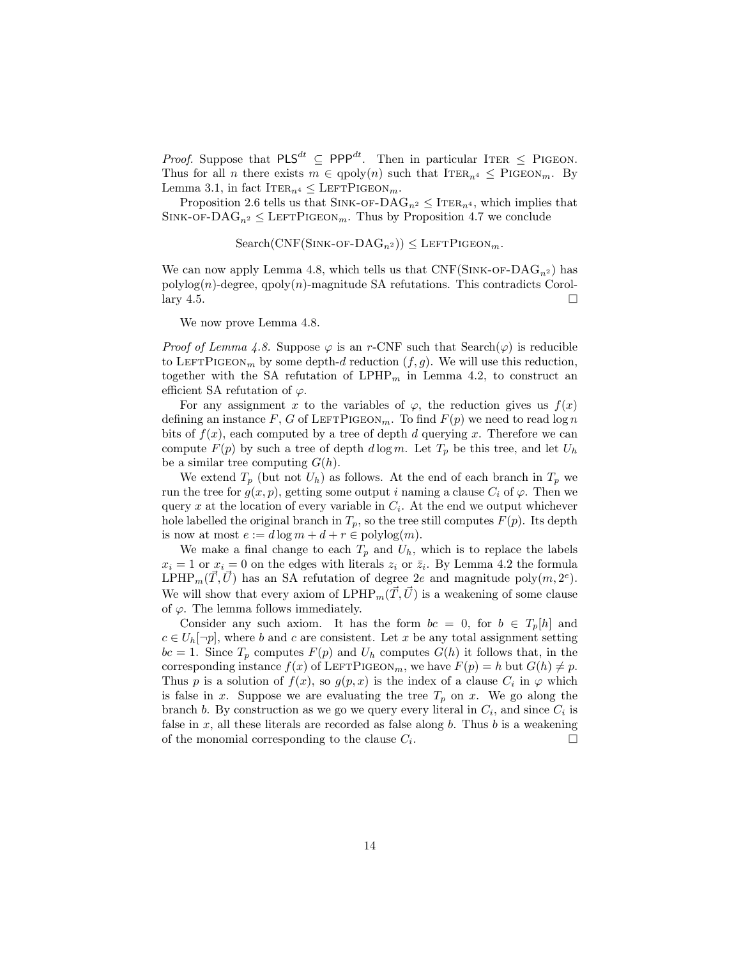*Proof.* Suppose that  $PLS^{dt} \subseteq PPP^{dt}$ . Then in particular ITER  $\leq$  PIGEON. Thus for all *n* there exists  $m \in \text{qpoly}(n)$  such that  $\text{ITER}_{n^4} \leq \text{PIGEON}_m$ . By Lemma 3.1, in fact  $IrER_{n^4} \leq \text{LETPIGEON}_m$ .

Proposition 2.6 tells us that SINK-OF-DA $G_{n^2} \leq \text{ITER}_{n^4}$ , which implies that SINK-OF-DA $G_{n^2} \leq$  LEFTPIGEON<sub>m</sub>. Thus by Proposition 4.7 we conclude

Search(CNF(SINK-OF- DAG<sub>n<sup>2</sup></sub>)) 
$$
\leq
$$
 LEFTPIGEDN<sub>m</sub>.

We can now apply Lemma 4.8, which tells us that  $CNF(SINK-OF- DAG<sub>n</sub><sup>2</sup>)$  has  $polylog(n)$ -degree,  $qpoly(n)$ -magnitude SA refutations. This contradicts Corollary 4.5.  $\Box$ 

We now prove Lemma 4.8.

*Proof* of *Lemma* 4.8. Suppose  $\varphi$  is an *r*-CNF such that Search( $\varphi$ ) is reducible to LEFTPIGEON<sub>*m*</sub> by some depth-*d* reduction  $(f, g)$ . We will use this reduction, together with the SA refutation of  $LPHP_m$  in Lemma 4.2, to construct an efficient SA refutation of  $\varphi$ .

For any assignment *x* to the variables of  $\varphi$ , the reduction gives us  $f(x)$ defining an instance  $F$ ,  $G$  of LEFTPIGEON<sub>*m*</sub>. To find  $F(p)$  we need to read log *n* bits of  $f(x)$ , each computed by a tree of depth *d* querying *x*. Therefore we can compute  $F(p)$  by such a tree of depth  $d \log m$ . Let  $T_p$  be this tree, and let  $U_h$ be a similar tree computing *G*(*h*).

We extend  $T_p$  (but not  $U_h$ ) as follows. At the end of each branch in  $T_p$  we run the tree for  $g(x, p)$ , getting some output *i* naming a clause  $C_i$  of  $\varphi$ . Then we query *x* at the location of every variable in  $C_i$ . At the end we output whichever hole labelled the original branch in  $T_p$ , so the tree still computes  $F(p)$ . Its depth is now at most  $e := d \log m + d + r \in \text{polylog}(m)$ .

We make a final change to each  $T_p$  and  $U_h$ , which is to replace the labels  $x_i = 1$  or  $x_i = 0$  on the edges with literals  $z_i$  or  $\overline{z_i}$ . By Lemma 4.2 the formula LPHP<sub>*m*</sub>( $\overline{T}$ , $\overline{U}$ ) has an SA refutation of degree 2*e* and magnitude poly(*m*, 2<sup>*e*</sup>). We will show that every axiom of  $LPHP_m(\vec{T}, \vec{U})$  is a weakening of some clause of  $\varphi$ . The lemma follows immediately.

Consider any such axiom. It has the form  $bc = 0$ , for  $b \in T_p[h]$  and  $c \in U_h[\neg p]$ , where *b* and *c* are consistent. Let *x* be any total assignment setting  $bc = 1$ . Since  $T_p$  computes  $F(p)$  and  $U_h$  computes  $G(h)$  it follows that, in the corresponding instance  $f(x)$  of LEFTPIGEON<sub>*m*</sub>, we have  $F(p) = h$  but  $G(h) \neq p$ . Thus *p* is a solution of  $f(x)$ , so  $g(p, x)$  is the index of a clause  $C_i$  in  $\varphi$  which is false in *x*. Suppose we are evaluating the tree  $T_p$  on *x*. We go along the branch *b*. By construction as we go we query every literal in  $C_i$ , and since  $C_i$  is false in *x*, all these literals are recorded as false along *b*. Thus *b* is a weakening of the monomial corresponding to the clause  $C_i$ .  $\Box$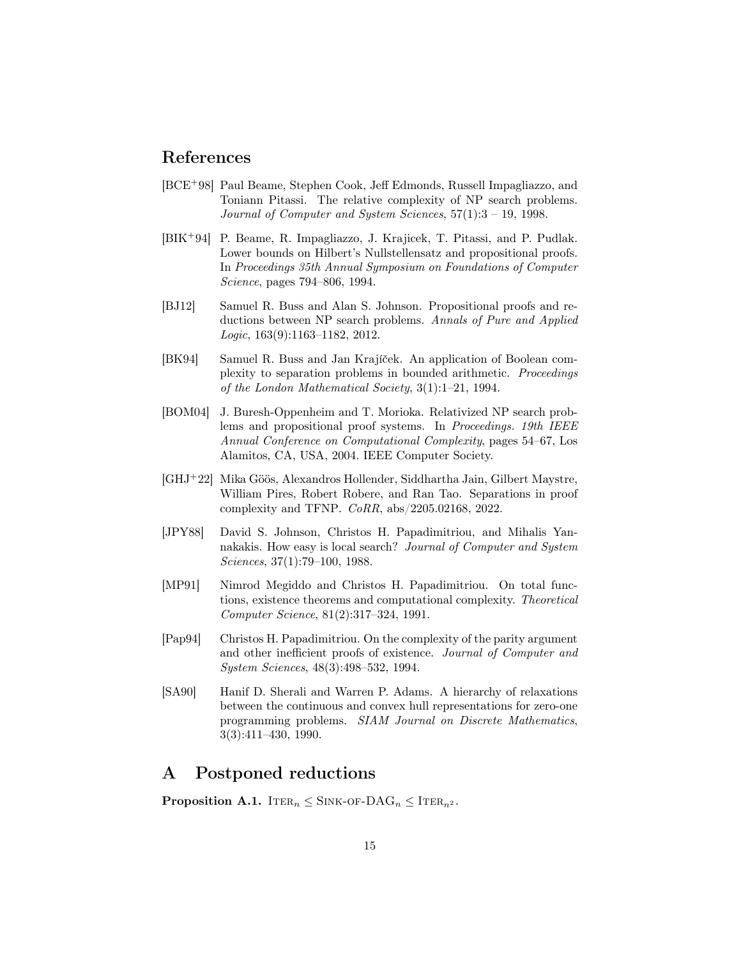### References

- [BCE+98] Paul Beame, Stephen Cook, Jeff Edmonds, Russell Impagliazzo, and Toniann Pitassi. The relative complexity of NP search problems. *Journal of Computer and System Sciences*, 57(1):3 – 19, 1998.
- [BIK+94] P. Beame, R. Impagliazzo, J. Krajicek, T. Pitassi, and P. Pudlak. Lower bounds on Hilbert's Nullstellensatz and propositional proofs. In *Proceedings 35th Annual Symposium on Foundations of Computer Science*, pages 794–806, 1994.
- [BJ12] Samuel R. Buss and Alan S. Johnson. Propositional proofs and reductions between NP search problems. *Annals of Pure and Applied Logic*, 163(9):1163–1182, 2012.
- [BK94] Samuel R. Buss and Jan Krajíček. An application of Boolean complexity to separation problems in bounded arithmetic. *Proceedings of the London Mathematical Society*, 3(1):1–21, 1994.
- [BOM04] J. Buresh-Oppenheim and T. Morioka. Relativized NP search problems and propositional proof systems. In *Proceedings. 19th IEEE Annual Conference on Computational Complexity*, pages 54–67, Los Alamitos, CA, USA, 2004. IEEE Computer Society.
- [GHJ<sup>+</sup>22] Mika Göös, Alexandros Hollender, Siddhartha Jain, Gilbert Maystre, William Pires, Robert Robere, and Ran Tao. Separations in proof complexity and TFNP. *CoRR*, abs/2205.02168, 2022.
- [JPY88] David S. Johnson, Christos H. Papadimitriou, and Mihalis Yannakakis. How easy is local search? *Journal of Computer and System Sciences*, 37(1):79–100, 1988.
- [MP91] Nimrod Megiddo and Christos H. Papadimitriou. On total functions, existence theorems and computational complexity. *Theoretical Computer Science*, 81(2):317–324, 1991.
- [Pap94] Christos H. Papadimitriou. On the complexity of the parity argument and other inefficient proofs of existence. *Journal of Computer and System Sciences*, 48(3):498–532, 1994.
- [SA90] Hanif D. Sherali and Warren P. Adams. A hierarchy of relaxations between the continuous and convex hull representations for zero-one programming problems. *SIAM Journal on Discrete Mathematics*, 3(3):411–430, 1990.

### A Postponed reductions

**Proposition A.1.** ITER<sub>n</sub>  $\leq$  SINK-OF-DAG<sub>n</sub>  $\leq$  ITER<sub>n</sub><sup>2</sup>.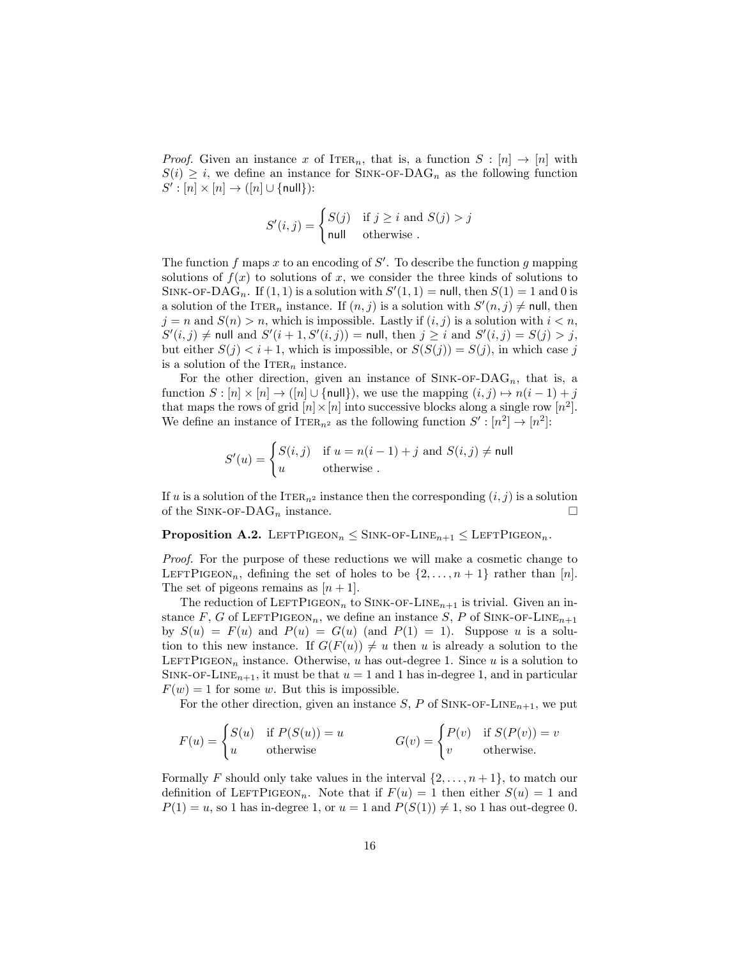*Proof.* Given an instance *x* of ITER<sub>n</sub>, that is, a function  $S : [n] \rightarrow [n]$  with  $S(i) \geq i$ , we define an instance for SINK-OF-DAG<sub>n</sub> as the following function  $S' : [n] \times [n] \rightarrow ([n] \cup \{\text{null}\})$ :

$$
S'(i,j) = \begin{cases} S(j) & \text{if } j \ge i \text{ and } S(j) > j \\ \text{null} & \text{otherwise} \end{cases}
$$

The function *f* maps *x* to an encoding of *S*′ . To describe the function *g* mapping solutions of  $f(x)$  to solutions of x, we consider the three kinds of solutions to SINK-OF-DAG<sub>n</sub>. If  $(1, 1)$  is a solution with  $S'(1, 1) =$  null, then  $S(1) = 1$  and 0 is a solution of the ITER<sub>n</sub> instance. If  $(n, j)$  is a solution with  $S'(n, j) \neq \text{null}$ , then  $j = n$  and  $S(n) > n$ , which is impossible. Lastly if  $(i, j)$  is a solution with  $i < n$ ,  $S'(i,j) \neq \text{null}$  and  $S'(i+1, S'(i,j)) = \text{null}$ , then  $j \geq i$  and  $S'(i,j) = S(j) > j$ , but either  $S(j) < i+1$ , which is impossible, or  $S(S(j)) = S(j)$ , in which case *j* is a solution of the  $ITER_n$  instance.

For the other direction, given an instance of  $\text{SINK-OF-DAG}_n$ , that is, a function  $S : [n] \times [n] \rightarrow ([n] \cup \{null\})$ , we use the mapping  $(i, j) \mapsto n(i-1) + j$ that maps the rows of grid  $[n] \times [n]$  into successive blocks along a single row  $[n^2]$ . We define an instance of ITER<sub>n<sup>2</sub></sup> as the following function  $S' : [n^2] \to [n^2]$ :</sub>

$$
S'(u) = \begin{cases} S(i,j) & \text{if } u = n(i-1) + j \text{ and } S(i,j) \neq \text{null} \\ u & \text{otherwise} \end{cases}
$$

If *u* is a solution of the ITER<sub>n<sup>2</sub></sup> instance then the corresponding  $(i, j)$  is a solution</sub> of the SINK-OF-DA $G_n$  instance.  $\Box$ 

#### **Proposition A.2.** LEFTPIGEON<sub>n</sub>  $\leq$  SINK-OF-LINE<sub>n+1</sub>  $\leq$  LEFTPIGEON<sub>n</sub>.

*Proof.* For the purpose of these reductions we will make a cosmetic change to LEFTPIGEON<sub>n</sub>, defining the set of holes to be  $\{2, \ldots, n+1\}$  rather than [*n*]. The set of pigeons remains as  $[n+1]$ .

The reduction of  $\text{LEFTPIGEON}_n$  to SINK-OF-LINE<sub>n+1</sub> is trivial. Given an instance *F*, *G* of LEFTPIGEON<sub>n</sub>, we define an instance *S*, *P* of SINK-OF-LINE<sub>n+1</sub></sub> by  $S(u) = F(u)$  and  $P(u) = G(u)$  (and  $P(1) = 1$ ). Suppose *u* is a solution to this new instance. If  $G(F(u)) \neq u$  then *u* is already a solution to the LEFTPIGEON<sub>n</sub> instance. Otherwise, *u* has out-degree 1. Since *u* is a solution to SINK-OF-LINE<sub>n+1</sub>, it must be that  $u = 1$  and 1 has in-degree 1, and in particular  $F(w) = 1$  for some *w*. But this is impossible.

For the other direction, given an instance  $S$ ,  $P$  of SINK-OF-LINE<sub>n+1</sub>, we put

$$
F(u) = \begin{cases} S(u) & \text{if } P(S(u)) = u \\ u & \text{otherwise} \end{cases} \qquad G(v) = \begin{cases} P(v) & \text{if } S(P(v)) = v \\ v & \text{otherwise.} \end{cases}
$$

Formally *F* should only take values in the interval  $\{2, \ldots, n+1\}$ , to match our definition of LEFTPIGEON<sub>n</sub>. Note that if  $F(u) = 1$  then either  $S(u) = 1$  and  $P(1) = u$ , so 1 has in-degree 1, or  $u = 1$  and  $P(S(1)) \neq 1$ , so 1 has out-degree 0.